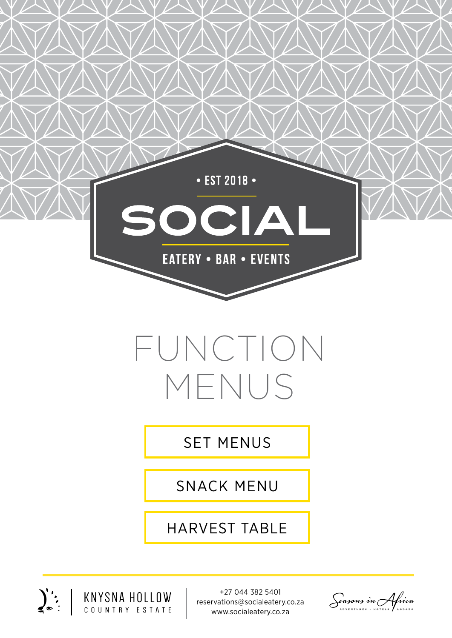

# FUNCTION MENUS

[SET MENUS](#page-1-0)

[SNACK MENU](#page-7-0)

[HARVEST TABLE](#page-8-0)



+27 044 382 5401 reservations@socialeatery.co.za www.socialeatery.co.za

Seasons in Africa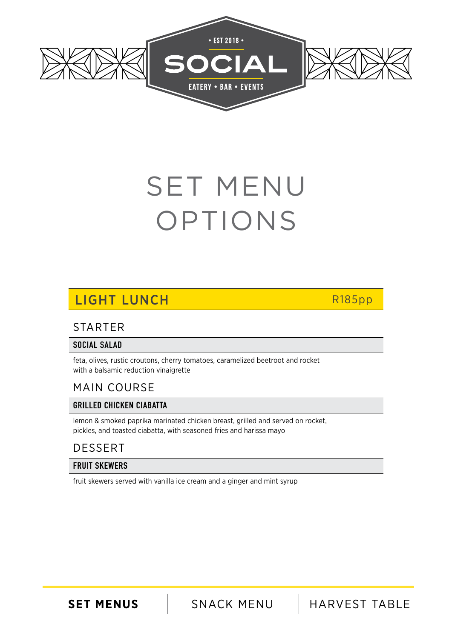<span id="page-1-0"></span>

## SET MENU OPTIONS

## LIGHT LUNCH R185pp

### STARTER

### SOCIAL SALAD

feta, olives, rustic croutons, cherry tomatoes, caramelized beetroot and rocket with a balsamic reduction vinaigrette

### MAIN COURSE

### GRILLED CHICKEN CIABATTA

lemon & smoked paprika marinated chicken breast, grilled and served on rocket, pickles, and toasted ciabatta, with seasoned fries and harissa mayo

### DESSERT

### FRUIT SKEWERS

fruit skewers served with vanilla ice cream and a ginger and mint syrup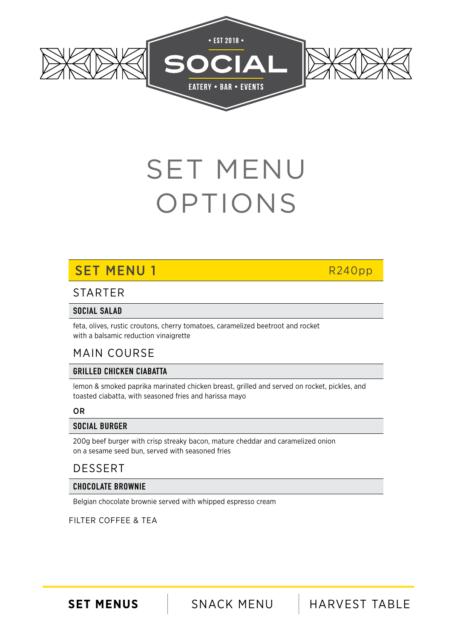

# SET MENU OPTIONS

## SET MENU 1 R240pp

### STARTER

### SOCIAL SALAD

feta, olives, rustic croutons, cherry tomatoes, caramelized beetroot and rocket with a balsamic reduction vinaigrette

### MAIN COURSE

### GRILLED CHICKEN CIABATTA

lemon & smoked paprika marinated chicken breast, grilled and served on rocket, pickles, and toasted ciabatta, with seasoned fries and harissa mayo

### OR

### SOCIAL BURGER

200g beef burger with crisp streaky bacon, mature cheddar and caramelized onion on a sesame seed bun, served with seasoned fries

### DESSERT

### CHOCOLATE BROWNIE

Belgian chocolate brownie served with whipped espresso cream

### FILTER COFFEE & TEA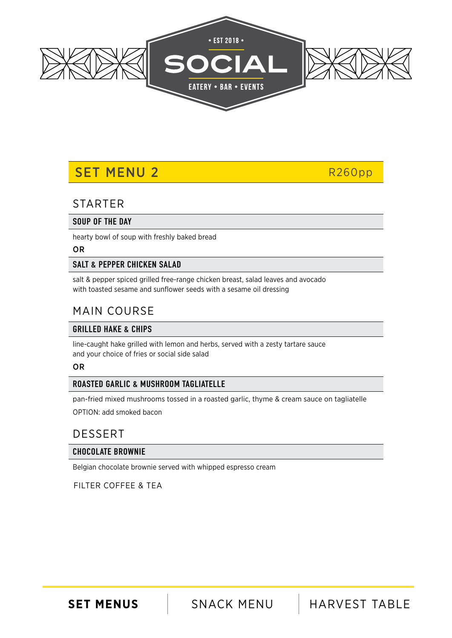

### SET MENU 2 R260pp

### **STARTER**

### SOUP OF THE DAY

hearty bowl of soup with freshly baked bread

#### OR

### SALT & PEPPER CHICKEN SALAD

salt & pepper spiced grilled free-range chicken breast, salad leaves and avocado with toasted sesame and sunflower seeds with a sesame oil dressing

### MAIN COURSE

### GRILLED HAKE & CHIPS

line-caught hake grilled with lemon and herbs, served with a zesty tartare sauce and your choice of fries or social side salad

### OR

### ROASTED GARLIC & MUSHROOM TAGLIATELLE

pan-fried mixed mushrooms tossed in a roasted garlic, thyme & cream sauce on tagliatelle OPTION: add smoked bacon

### DESSERT

### CHOCOLATE BROWNIE

Belgian chocolate brownie served with whipped espresso cream

FILTER COFFEE & TEA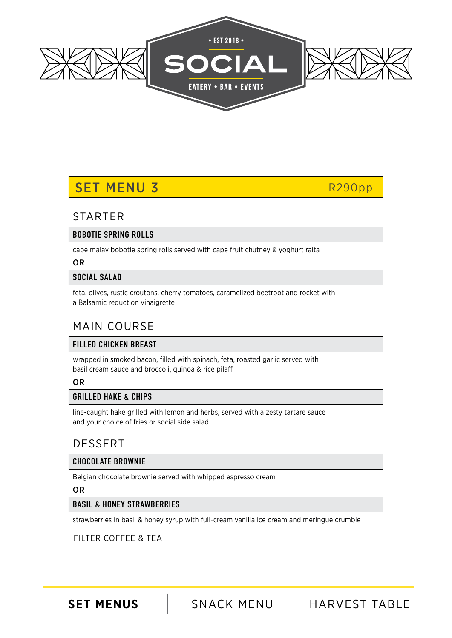

### SET MENU 3 R290pp

### **STARTER**

### BOBOTIE SPRING ROLLS

cape malay bobotie spring rolls served with cape fruit chutney & yoghurt raita

### OR

### SOCIAL SALAD

feta, olives, rustic croutons, cherry tomatoes, caramelized beetroot and rocket with a Balsamic reduction vinaigrette

### MAIN COURSE

### FILLED CHICKEN BREAST

wrapped in smoked bacon, filled with spinach, feta, roasted garlic served with basil cream sauce and broccoli, quinoa & rice pilaff

OR

### GRILLED HAKE & CHIPS

line-caught hake grilled with lemon and herbs, served with a zesty tartare sauce and your choice of fries or social side salad

### DESSERT

### CHOCOLATE BROWNIE

Belgian chocolate brownie served with whipped espresso cream

#### OR

### BASIL & HONEY STRAWBERRIES

strawberries in basil & honey syrup with full-cream vanilla ice cream and meringue crumble

### FILTER COFFEE & TEA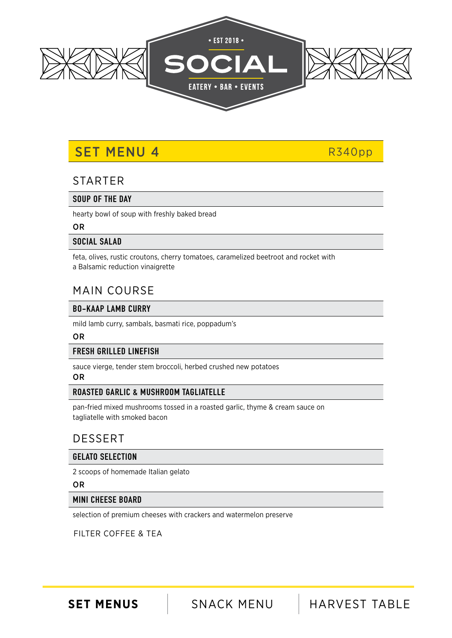

### SET MENU 4 R340pp

### **STARTER**

#### SOUP OF THE DAY

hearty bowl of soup with freshly baked bread

#### OR

### SOCIAL SALAD

feta, olives, rustic croutons, cherry tomatoes, caramelized beetroot and rocket with a Balsamic reduction vinaigrette

### MAIN COURSE

### BO-KAAP LAMB CURRY

mild lamb curry, sambals, basmati rice, poppadum's

### OR

### FRESH GRILLED LINEFISH

sauce vierge, tender stem broccoli, herbed crushed new potatoes

### OR

### ROASTED GARLIC & MUSHROOM TAGLIATELLE

pan-fried mixed mushrooms tossed in a roasted garlic, thyme & cream sauce on tagliatelle with smoked bacon

### DESSERT

### GELATO SELECTION

2 scoops of homemade Italian gelato

#### OR

### MINI CHEESE BOARD

selection of premium cheeses with crackers and watermelon preserve

### FILTER COFFEE & TEA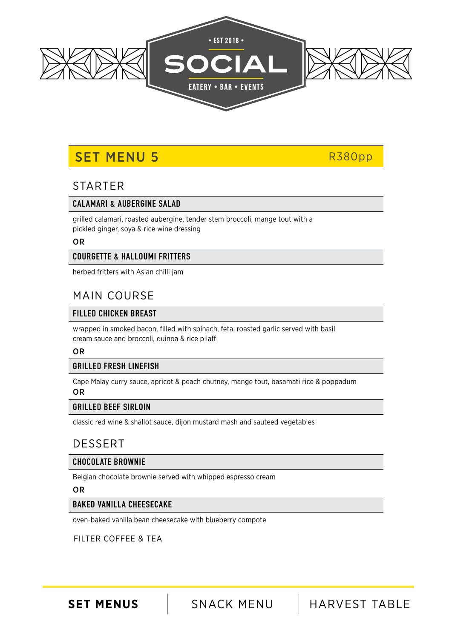

## SET MENU 5 R380pp

### STARTER

### CALAMARI & AUBERGINE SALAD

grilled calamari, roasted aubergine, tender stem broccoli, mange tout with a pickled ginger, soya & rice wine dressing

#### OR

### COURGETTE & HALLOUMI FRITTERS

herbed fritters with Asian chilli jam

### MAIN COURSE

### FILLED CHICKEN BREAST

wrapped in smoked bacon, filled with spinach, feta, roasted garlic served with basil cream sauce and broccoli, quinoa & rice pilaff

#### OR

### GRILLED FRESH LINEFISH

Cape Malay curry sauce, apricot & peach chutney, mange tout, basamati rice & poppadum OR

### GRILLED BEEF SIRLOIN

classic red wine & shallot sauce, dijon mustard mash and sauteed vegetables

### DESSERT

### CHOCOLATE BROWNIE

Belgian chocolate brownie served with whipped espresso cream

#### OR

### BAKED VANILLA CHEESECAKE

oven-baked vanilla bean cheesecake with blueberry compote

### FILTER COFFEE & TEA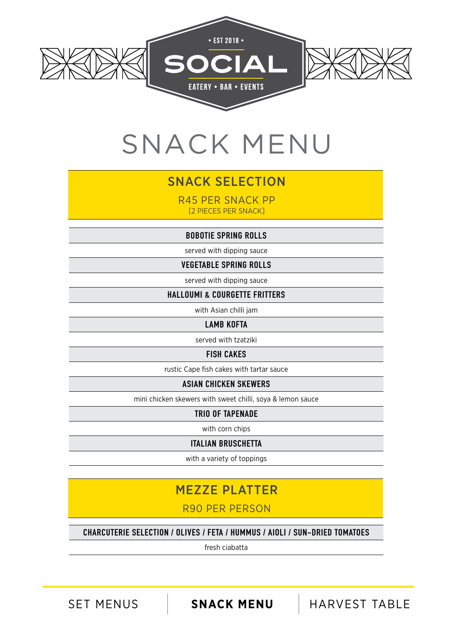<span id="page-7-0"></span>

## SNACK MENU

### SNACK SELECTION

R45 PER SNACK PP [2 PIECES PER SNACK]

BOBOTIE SPRING ROLLS

served with dipping sauce

VEGETABLE SPRING ROLLS

served with dipping sauce

HALLOUMI & COURGETTE FRITTERS

with Asian chilli jam

LAMB KOFTA

served with tzatziki

### FISH CAKES

rustic Cape fish cakes with tartar sauce

#### ASIAN CHICKEN SKEWERS

mini chicken skewers with sweet chilli, soya & lemon sauce

TRIO OF TAPENADE

with corn chips

ITALIAN BRUSCHETTA

with a variety of toppings

### MEZZE PLATTER

R90 PER PERSON

CHARCUTERIE SELECTION / OLIVES / FETA / HUMMUS / AIOLI / SUN-DRIED TOMATOES

fresh ciabatta